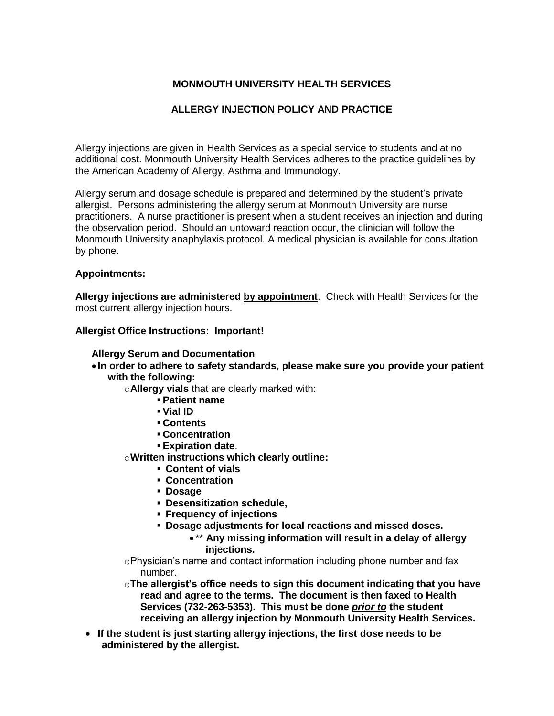# **MONMOUTH UNIVERSITY HEALTH SERVICES**

## **ALLERGY INJECTION POLICY AND PRACTICE**

Allergy injections are given in Health Services as a special service to students and at no additional cost. Monmouth University Health Services adheres to the practice guidelines by the American Academy of Allergy, Asthma and Immunology.

Allergy serum and dosage schedule is prepared and determined by the student's private allergist. Persons administering the allergy serum at Monmouth University are nurse practitioners. A nurse practitioner is present when a student receives an injection and during the observation period. Should an untoward reaction occur, the clinician will follow the Monmouth University anaphylaxis protocol. A medical physician is available for consultation by phone.

#### **Appointments:**

**Allergy injections are administered by appointment**. Check with Health Services for the most current allergy injection hours.

#### **Allergist Office Instructions: Important!**

#### **Allergy Serum and Documentation**

- **In order to adhere to safety standards, please make sure you provide your patient with the following:**
	- o**Allergy vials** that are clearly marked with:
		- **Patient name**
		- **Vial ID**
		- **Contents**
		- **Concentration**
		- **Expiration date**.

o**Written instructions which clearly outline:**

- **Content of vials**
- **Concentration**
- **Dosage**
- **Desensitization schedule,**
- **Frequency of injections**
- **Dosage adjustments for local reactions and missed doses.**
	- \*\* **Any missing information will result in a delay of allergy injections.**
- oPhysician's name and contact information including phone number and fax number.
- o**The allergist's office needs to sign this document indicating that you have read and agree to the terms. The document is then faxed to Health Services (732-263-5353). This must be done** *prior to* **the student receiving an allergy injection by Monmouth University Health Services.**
- **If the student is just starting allergy injections, the first dose needs to be administered by the allergist.**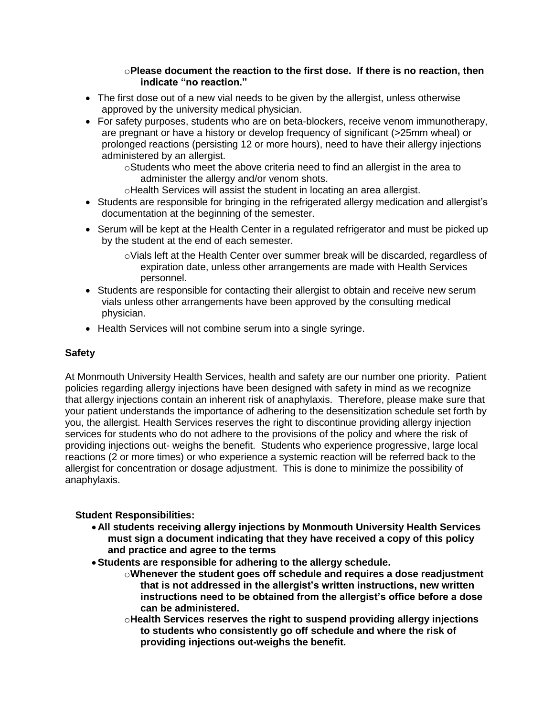### o**Please document the reaction to the first dose. If there is no reaction, then indicate "no reaction."**

- The first dose out of a new vial needs to be given by the allergist, unless otherwise approved by the university medical physician.
- For safety purposes, students who are on beta-blockers, receive venom immunotherapy, are pregnant or have a history or develop frequency of significant (>25mm wheal) or prolonged reactions (persisting 12 or more hours), need to have their allergy injections administered by an allergist.

oStudents who meet the above criteria need to find an allergist in the area to administer the allergy and/or venom shots.

- oHealth Services will assist the student in locating an area allergist.
- Students are responsible for bringing in the refrigerated allergy medication and allergist's documentation at the beginning of the semester.
- Serum will be kept at the Health Center in a regulated refrigerator and must be picked up by the student at the end of each semester.
	- $\circ$ Vials left at the Health Center over summer break will be discarded, regardless of expiration date, unless other arrangements are made with Health Services personnel.
- Students are responsible for contacting their allergist to obtain and receive new serum vials unless other arrangements have been approved by the consulting medical physician.
- Health Services will not combine serum into a single syringe.

### **Safety**

At Monmouth University Health Services, health and safety are our number one priority. Patient policies regarding allergy injections have been designed with safety in mind as we recognize that allergy injections contain an inherent risk of anaphylaxis. Therefore, please make sure that your patient understands the importance of adhering to the desensitization schedule set forth by you, the allergist. Health Services reserves the right to discontinue providing allergy injection services for students who do not adhere to the provisions of the policy and where the risk of providing injections out- weighs the benefit. Students who experience progressive, large local reactions (2 or more times) or who experience a systemic reaction will be referred back to the allergist for concentration or dosage adjustment. This is done to minimize the possibility of anaphylaxis.

# **Student Responsibilities:**

- **All students receiving allergy injections by Monmouth University Health Services must sign a document indicating that they have received a copy of this policy and practice and agree to the terms**
- **Students are responsible for adhering to the allergy schedule.** 
	- o**Whenever the student goes off schedule and requires a dose readjustment that is not addressed in the allergist's written instructions, new written instructions need to be obtained from the allergist's office before a dose can be administered.**
	- o**Health Services reserves the right to suspend providing allergy injections to students who consistently go off schedule and where the risk of providing injections out-weighs the benefit.**